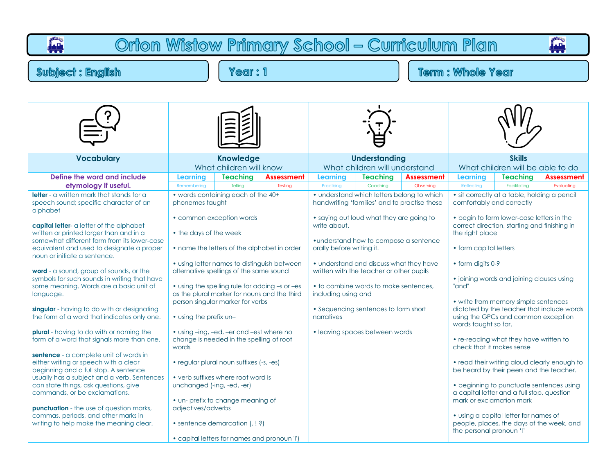| Orton Wistow Primary School - Curriculum Plan<br>i <u>ali</u><br>111<br>ي<br>100                                                                                                                                                                                                                                                                                                                                                                                                                                                                                                                                                                                                                                                                                                                                                                                                                                                                                                                                                                                      |                                                                                                                                                                                                                                                                                                                                                                                                                                                                                                                                                                                                                                                                                                  |                            |                              |                                                                                |                                                                                                                                                                                                                                                                                              |                                                                                            |                                                                                                                                                                                                                                                                                                                                                                                                                                                                                                                                                                                                                                                                                                                                                                                                                                                                |                                 |                                 |  |  |
|-----------------------------------------------------------------------------------------------------------------------------------------------------------------------------------------------------------------------------------------------------------------------------------------------------------------------------------------------------------------------------------------------------------------------------------------------------------------------------------------------------------------------------------------------------------------------------------------------------------------------------------------------------------------------------------------------------------------------------------------------------------------------------------------------------------------------------------------------------------------------------------------------------------------------------------------------------------------------------------------------------------------------------------------------------------------------|--------------------------------------------------------------------------------------------------------------------------------------------------------------------------------------------------------------------------------------------------------------------------------------------------------------------------------------------------------------------------------------------------------------------------------------------------------------------------------------------------------------------------------------------------------------------------------------------------------------------------------------------------------------------------------------------------|----------------------------|------------------------------|--------------------------------------------------------------------------------|----------------------------------------------------------------------------------------------------------------------------------------------------------------------------------------------------------------------------------------------------------------------------------------------|--------------------------------------------------------------------------------------------|----------------------------------------------------------------------------------------------------------------------------------------------------------------------------------------------------------------------------------------------------------------------------------------------------------------------------------------------------------------------------------------------------------------------------------------------------------------------------------------------------------------------------------------------------------------------------------------------------------------------------------------------------------------------------------------------------------------------------------------------------------------------------------------------------------------------------------------------------------------|---------------------------------|---------------------------------|--|--|
| <b>Subject: English</b>                                                                                                                                                                                                                                                                                                                                                                                                                                                                                                                                                                                                                                                                                                                                                                                                                                                                                                                                                                                                                                               | <b>Year:1</b>                                                                                                                                                                                                                                                                                                                                                                                                                                                                                                                                                                                                                                                                                    |                            |                              | <b>Term: Whole Year</b>                                                        |                                                                                                                                                                                                                                                                                              |                                                                                            |                                                                                                                                                                                                                                                                                                                                                                                                                                                                                                                                                                                                                                                                                                                                                                                                                                                                |                                 |                                 |  |  |
|                                                                                                                                                                                                                                                                                                                                                                                                                                                                                                                                                                                                                                                                                                                                                                                                                                                                                                                                                                                                                                                                       |                                                                                                                                                                                                                                                                                                                                                                                                                                                                                                                                                                                                                                                                                                  |                            |                              |                                                                                |                                                                                                                                                                                                                                                                                              |                                                                                            |                                                                                                                                                                                                                                                                                                                                                                                                                                                                                                                                                                                                                                                                                                                                                                                                                                                                |                                 |                                 |  |  |
| <b>Vocabulary</b>                                                                                                                                                                                                                                                                                                                                                                                                                                                                                                                                                                                                                                                                                                                                                                                                                                                                                                                                                                                                                                                     | <b>Knowledge</b><br>What children will know                                                                                                                                                                                                                                                                                                                                                                                                                                                                                                                                                                                                                                                      |                            |                              | <b>Understanding</b><br>What children will understand                          |                                                                                                                                                                                                                                                                                              |                                                                                            | <b>Skills</b><br>What children will be able to do                                                                                                                                                                                                                                                                                                                                                                                                                                                                                                                                                                                                                                                                                                                                                                                                              |                                 |                                 |  |  |
| Define the word and include<br>etymology if useful.                                                                                                                                                                                                                                                                                                                                                                                                                                                                                                                                                                                                                                                                                                                                                                                                                                                                                                                                                                                                                   | <b>Learning</b><br>Remembering                                                                                                                                                                                                                                                                                                                                                                                                                                                                                                                                                                                                                                                                   | <b>Teaching</b><br>Tellina | <b>Assessment</b><br>Testing | <b>Learning</b><br>Practising                                                  | <b>Teaching</b><br>Coaching                                                                                                                                                                                                                                                                  | <b>Assessment</b><br>Observing                                                             | <b>Learning</b><br>Reflecting                                                                                                                                                                                                                                                                                                                                                                                                                                                                                                                                                                                                                                                                                                                                                                                                                                  | <b>Teaching</b><br>Facilitating | <b>Assessment</b><br>Evaluating |  |  |
| <b>letter</b> - a written mark that stands for a<br>speech sound; specific character of an<br>alphabet<br>capital letter- a letter of the alphabet<br>written or printed larger than and in a<br>somewhat different form from its lower-case<br>equivalent and used to designate a proper<br>noun or initiate a sentence.<br>word - a sound, group of sounds, or the<br>symbols for such sounds in writing that have<br>some meaning. Words are a basic unit of<br>language.<br>singular - having to do with or designating<br>the form of a word that indicates only one.<br><b>plural</b> - having to do with or naming the<br>form of a word that signals more than one.<br>sentence - a complete unit of words in<br>either writing or speech with a clear<br>beginning and a full stop. A sentence<br>usually has a subject and a verb. Sentences<br>can state things, ask questions, give<br>commands, or be exclamations.<br><b>punctuation</b> - the use of question marks,<br>commas, periods, and other marks in<br>writing to help make the meaning clear. | • words containing each of the 40+<br>phonemes taught<br>• common exception words<br>• the days of the week<br>• name the letters of the alphabet in order<br>• using letter names to distinguish between<br>alternative spellings of the same sound<br>• using the spelling rule for adding -s or -es<br>as the plural marker for nouns and the third<br>person singular marker for verbs<br>• using the prefix un-<br>• using -ing, -ed, -er and -est where no<br>change is needed in the spelling of root<br>words<br>• regular plural noun suffixes (-s, -es)<br>• verb suffixes where root word is<br>unchanged (-ing, -ed, -er)<br>• un- prefix to change meaning of<br>adjectives/adverbs |                            |                              | write about.<br>orally before writing it.<br>including using and<br>narratives | • saying out loud what they are going to<br>• understand how to compose a sentence<br>• understand and discuss what they have<br>written with the teacher or other pupils<br>• to combine words to make sentences,<br>• Sequencing sentences to form short<br>• leaving spaces between words | • understand which letters belong to which<br>handwriting 'families' and to practise these | · sit correctly at a table, holding a pencil<br>comfortably and correctly<br>• begin to form lower-case letters in the<br>correct direction, starting and finishing in<br>the right place<br>• form capital letters<br>• form digits 0-9<br>• joining words and joining clauses using<br>"and"<br>• write from memory simple sentences<br>dictated by the teacher that include words<br>using the GPCs and common exception<br>words taught so far.<br>• re-reading what they have written to<br>check that it makes sense<br>• read their writing aloud clearly enough to<br>be heard by their peers and the teacher.<br>• beginning to punctuate sentences using<br>a capital letter and a full stop, question<br>mark or exclamation mark<br>• using a capital letter for names of<br>people, places, the days of the week, and<br>the personal pronoun 'I' |                                 |                                 |  |  |